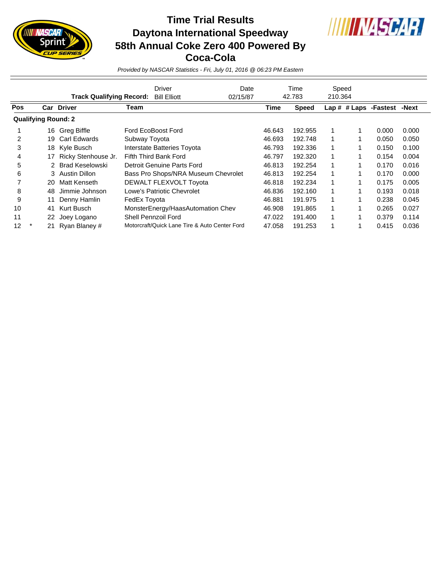

## **Time Trial Results Daytona International Speedway 58th Annual Coke Zero 400 Powered By Coca-Cola**



*Provided by NASCAR Statistics - Fri, July 01, 2016 @ 06:23 PM Eastern*

|            |                            |    |                                 | <b>Driver</b><br>Date |                                               |  | Time   | Speed        |         |  |                             |       |
|------------|----------------------------|----|---------------------------------|-----------------------|-----------------------------------------------|--|--------|--------------|---------|--|-----------------------------|-------|
|            |                            |    | <b>Track Qualifying Record:</b> |                       | <b>Bill Elliott</b><br>02/15/87               |  | 42.783 |              | 210.364 |  |                             |       |
| <b>Pos</b> |                            |    | <b>Car Driver</b>               | Team                  |                                               |  | Time   | <b>Speed</b> |         |  | Lap # # Laps -Fastest -Next |       |
|            | <b>Qualifying Round: 2</b> |    |                                 |                       |                                               |  |        |              |         |  |                             |       |
|            |                            | 16 | Greg Biffle                     |                       | Ford EcoBoost Ford                            |  | 46.643 | 192.955      |         |  | 0.000                       | 0.000 |
| 2          |                            | 19 | Carl Edwards                    | Subway Toyota         |                                               |  | 46.693 | 192.748      | 1       |  | 0.050                       | 0.050 |
| 3          |                            | 18 | Kyle Busch                      |                       | Interstate Batteries Toyota                   |  | 46.793 | 192.336      | 1       |  | 0.150                       | 0.100 |
| 4          |                            | 17 | Ricky Stenhouse Jr.             |                       | Fifth Third Bank Ford                         |  | 46.797 | 192.320      | 1       |  | 0.154                       | 0.004 |
| 5          |                            |    | Brad Keselowski                 |                       | Detroit Genuine Parts Ford                    |  | 46.813 | 192.254      | 1       |  | 0.170                       | 0.016 |
| 6          |                            |    | 3 Austin Dillon                 |                       | Bass Pro Shops/NRA Museum Chevrolet           |  | 46.813 | 192.254      | 1       |  | 0.170                       | 0.000 |
|            |                            | 20 | Matt Kenseth                    |                       | DEWALT FLEXVOLT Toyota                        |  | 46.818 | 192.234      | 1       |  | 0.175                       | 0.005 |
| 8          |                            | 48 | Jimmie Johnson                  |                       | Lowe's Patriotic Chevrolet                    |  | 46.836 | 192.160      | 1       |  | 0.193                       | 0.018 |
| 9          |                            | 11 | Denny Hamlin                    | FedEx Toyota          |                                               |  | 46.881 | 191.975      | 1       |  | 0.238                       | 0.045 |
| 10         |                            | 41 | Kurt Busch                      |                       | MonsterEnergy/HaasAutomation Chev             |  | 46.908 | 191.865      |         |  | 0.265                       | 0.027 |
| 11         |                            | 22 | Joey Logano                     |                       | Shell Pennzoil Ford                           |  | 47.022 | 191.400      | 1       |  | 0.379                       | 0.114 |
| 12         |                            | 21 | Ryan Blaney #                   |                       | Motorcraft/Quick Lane Tire & Auto Center Ford |  | 47.058 | 191.253      | 1       |  | 0.415                       | 0.036 |